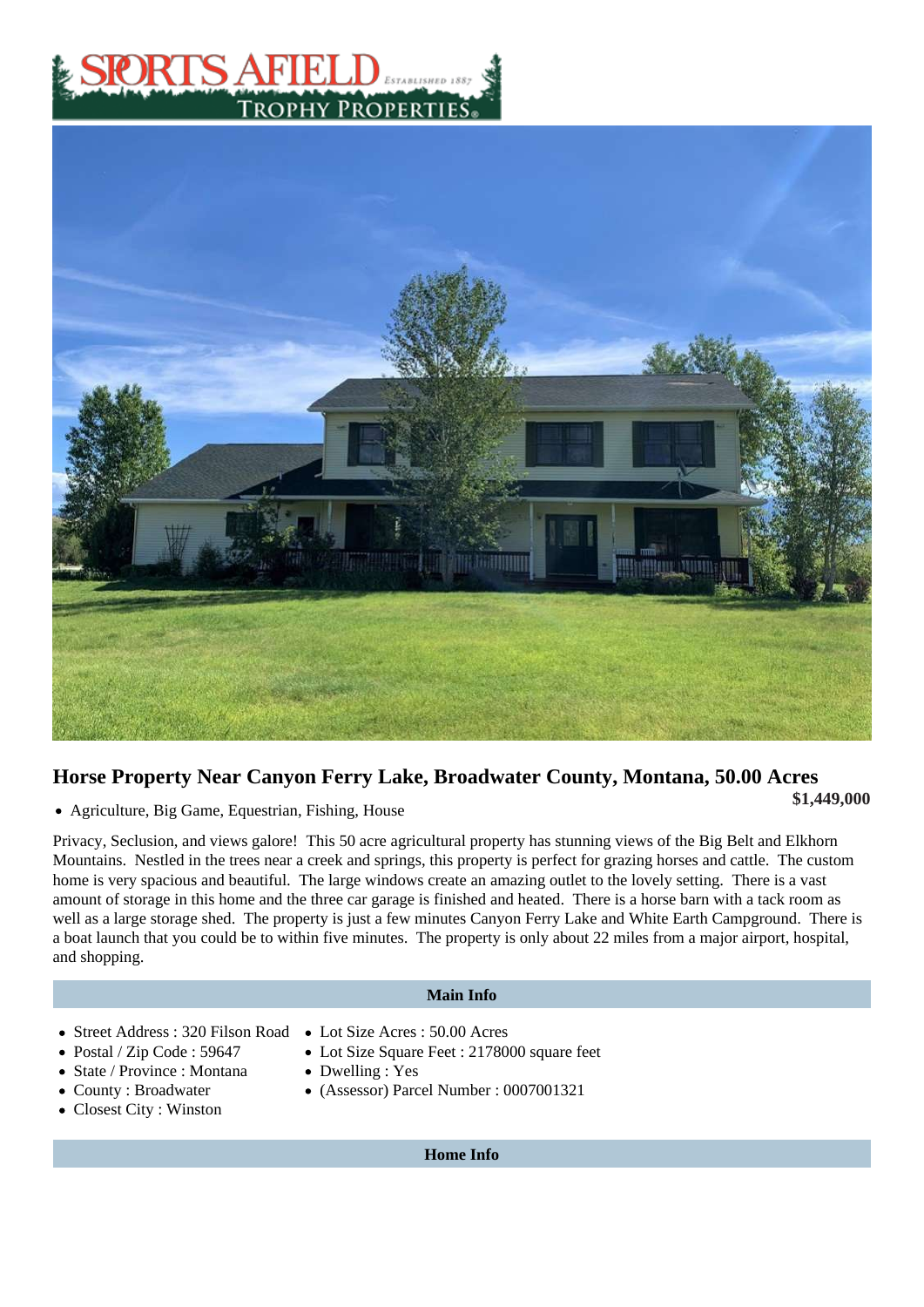## Horse Property Near Canyon Ferry Lake, Broadwater County, Montana, 50.00 Acres

• Agriculture, Big Game, Equestrian, Fishing, House **Agriculture, Big Game, Equestrian, Fishing, House** 

Privacy, Seclusion, and views galore! This 50 acre agricultural property has stunning views of the Big Belt and Elkhorn Mountains. Nestled in the trees near a creek and springs, this property is perfect for grazing horses and cattle. The cust home is very spacious and beautiful. The large windows create an amazing outlet to the lovely setting. There is a vast amount of storage in this home and the three car garage is finished and heated. There is a horse barn with a tack room a well as a large storage shed. The property is just a few minutes Canyon Ferry Lake and White Earth Campground. Ther a boat launch that you could be to within five minutes. The property is only about 22 miles from a major airport, hospital, and shopping.

## Main Info

- Street Address: 320 Filson Road Lot Size Acres: 50.00 Acres Lot Size Square Feet : 2178000 square feet
- Postal / Zip Code : 59647
- State / Province : Montana
- County : Broadwater
- Closest City : Winston
- Dwelling : Yes
- (Assessor) Parcel Number : 0007001321
	- Home Info